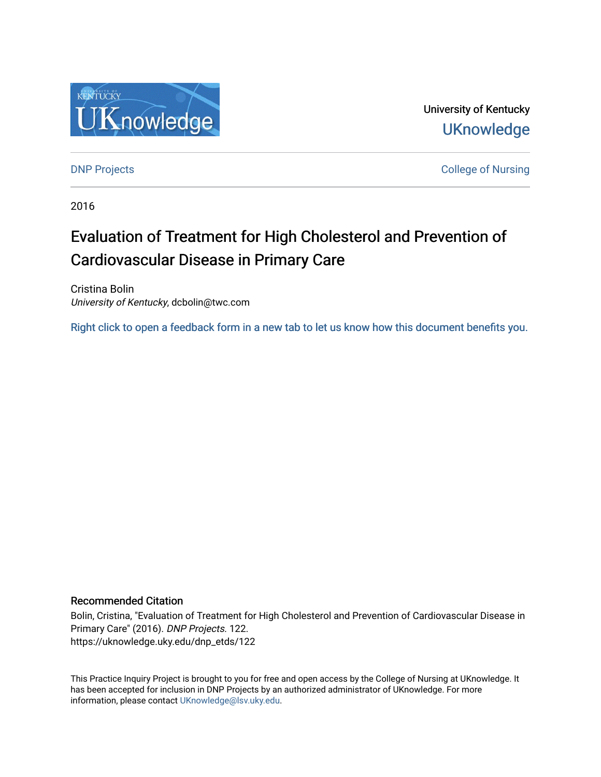

University of Kentucky **UKnowledge** 

[DNP Projects](https://uknowledge.uky.edu/dnp_etds) **College of Nursing** 

2016

# Evaluation of Treatment for High Cholesterol and Prevention of Cardiovascular Disease in Primary Care

Cristina Bolin University of Kentucky, dcbolin@twc.com

[Right click to open a feedback form in a new tab to let us know how this document benefits you.](https://uky.az1.qualtrics.com/jfe/form/SV_9mq8fx2GnONRfz7)

#### Recommended Citation

Bolin, Cristina, "Evaluation of Treatment for High Cholesterol and Prevention of Cardiovascular Disease in Primary Care" (2016). DNP Projects. 122. https://uknowledge.uky.edu/dnp\_etds/122

This Practice Inquiry Project is brought to you for free and open access by the College of Nursing at UKnowledge. It has been accepted for inclusion in DNP Projects by an authorized administrator of UKnowledge. For more information, please contact [UKnowledge@lsv.uky.edu](mailto:UKnowledge@lsv.uky.edu).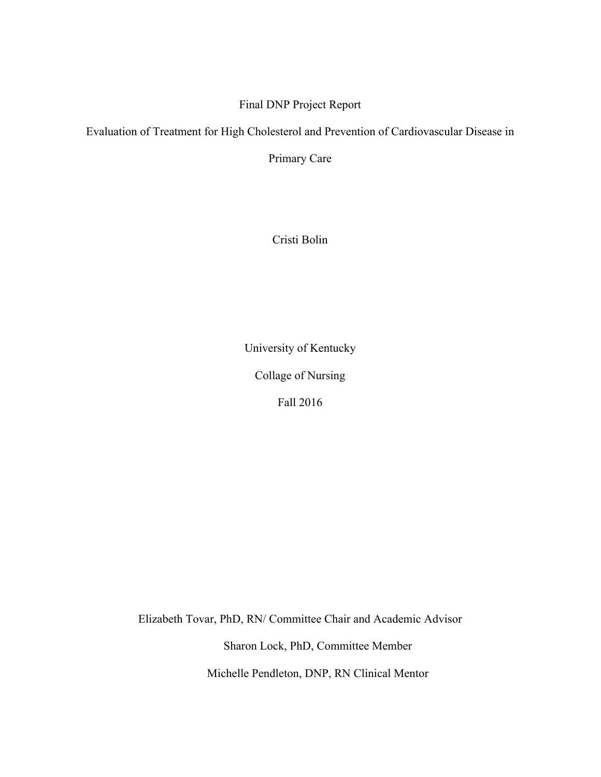## Final DNP Project Report

Evaluation of Treatment for High Cholesterol and Prevention of Cardiovascular Disease in

Primary Care

Cristi Bolin

University of Kentucky

Collage of Nursing

Fall 2016

Elizabeth Tovar, PhD, RN/ Committee Chair and Academic Advisor

Sharon Lock, PhD, Committee Member

Michelle Pendleton, DNP, RN Clinical Mentor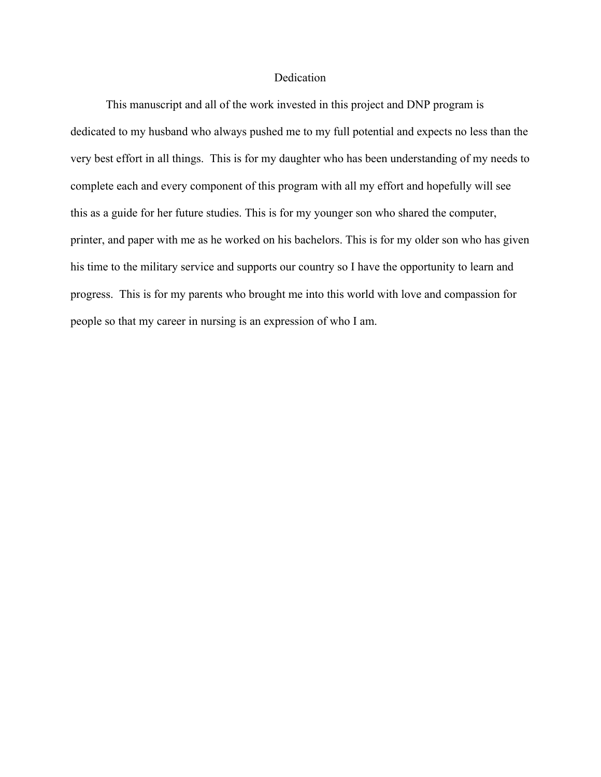#### Dedication

This manuscript and all of the work invested in this project and DNP program is dedicated to my husband who always pushed me to my full potential and expects no less than the very best effort in all things. This is for my daughter who has been understanding of my needs to complete each and every component of this program with all my effort and hopefully will see this as a guide for her future studies. This is for my younger son who shared the computer, printer, and paper with me as he worked on his bachelors. This is for my older son who has given his time to the military service and supports our country so I have the opportunity to learn and progress. This is for my parents who brought me into this world with love and compassion for people so that my career in nursing is an expression of who I am.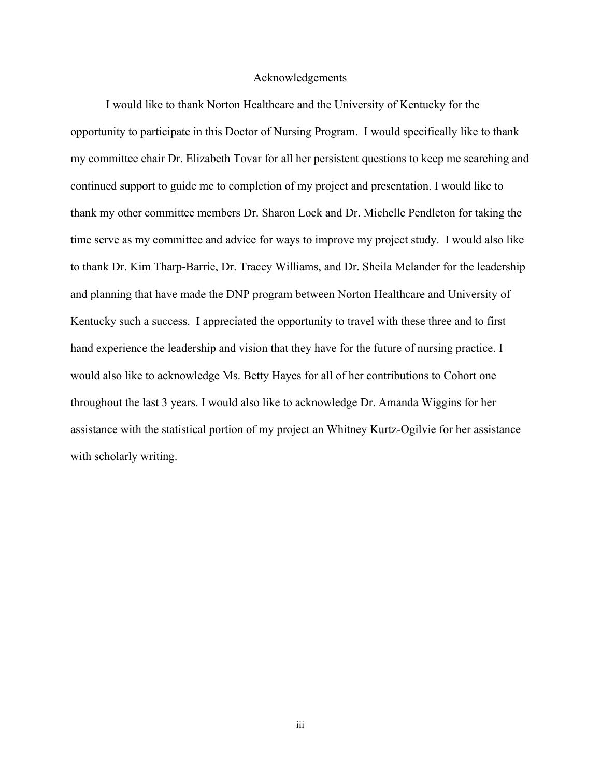#### Acknowledgements

I would like to thank Norton Healthcare and the University of Kentucky for the opportunity to participate in this Doctor of Nursing Program. I would specifically like to thank my committee chair Dr. Elizabeth Tovar for all her persistent questions to keep me searching and continued support to guide me to completion of my project and presentation. I would like to thank my other committee members Dr. Sharon Lock and Dr. Michelle Pendleton for taking the time serve as my committee and advice for ways to improve my project study. I would also like to thank Dr. Kim Tharp-Barrie, Dr. Tracey Williams, and Dr. Sheila Melander for the leadership and planning that have made the DNP program between Norton Healthcare and University of Kentucky such a success. I appreciated the opportunity to travel with these three and to first hand experience the leadership and vision that they have for the future of nursing practice. I would also like to acknowledge Ms. Betty Hayes for all of her contributions to Cohort one throughout the last 3 years. I would also like to acknowledge Dr. Amanda Wiggins for her assistance with the statistical portion of my project an Whitney Kurtz-Ogilvie for her assistance with scholarly writing.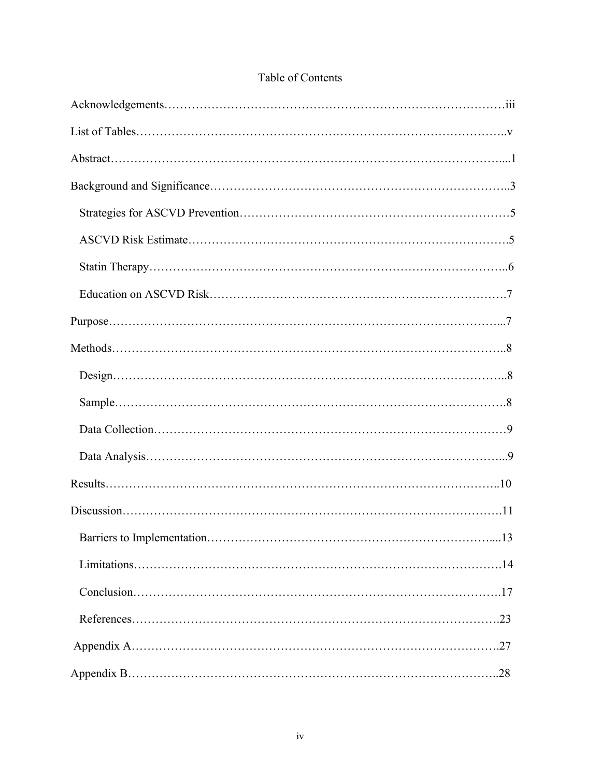| $Design. \dots 3$ |            |
|-------------------|------------|
|                   |            |
|                   |            |
|                   |            |
|                   |            |
|                   |            |
|                   | $\dots 13$ |
|                   |            |
|                   |            |
|                   |            |
|                   |            |
|                   |            |

## Table of Contents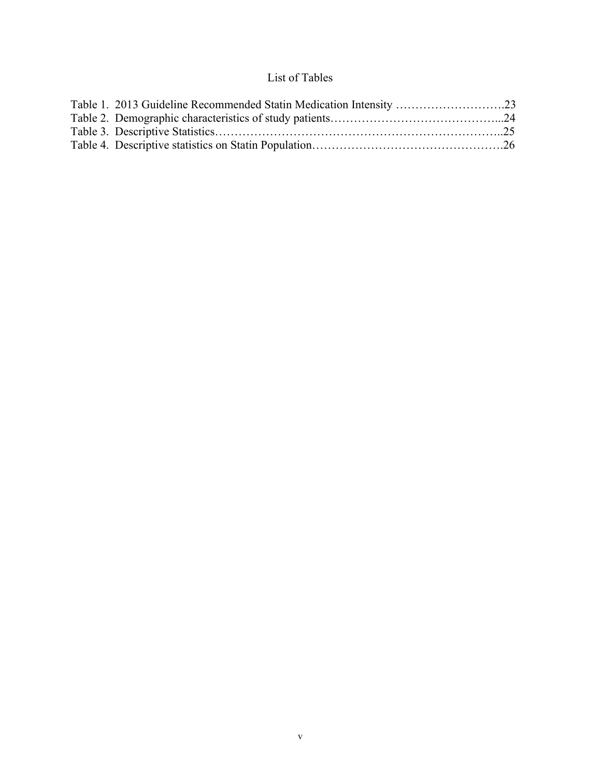# List of Tables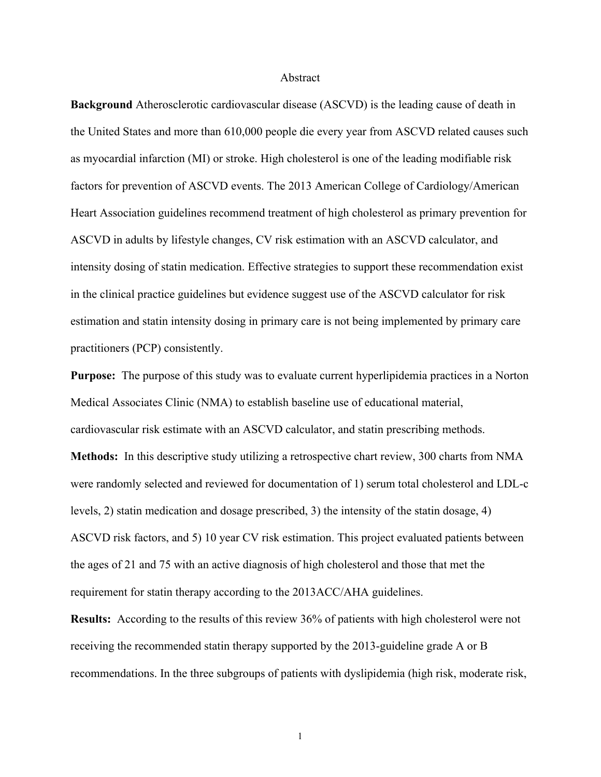#### Abstract

**Background** Atherosclerotic cardiovascular disease (ASCVD) is the leading cause of death in the United States and more than 610,000 people die every year from ASCVD related causes such as myocardial infarction (MI) or stroke. High cholesterol is one of the leading modifiable risk factors for prevention of ASCVD events. The 2013 American College of Cardiology/American Heart Association guidelines recommend treatment of high cholesterol as primary prevention for ASCVD in adults by lifestyle changes, CV risk estimation with an ASCVD calculator, and intensity dosing of statin medication. Effective strategies to support these recommendation exist in the clinical practice guidelines but evidence suggest use of the ASCVD calculator for risk estimation and statin intensity dosing in primary care is not being implemented by primary care practitioners (PCP) consistently.

**Purpose:** The purpose of this study was to evaluate current hyperlipidemia practices in a Norton Medical Associates Clinic (NMA) to establish baseline use of educational material, cardiovascular risk estimate with an ASCVD calculator, and statin prescribing methods.

**Methods:** In this descriptive study utilizing a retrospective chart review, 300 charts from NMA were randomly selected and reviewed for documentation of 1) serum total cholesterol and LDL-c levels, 2) statin medication and dosage prescribed, 3) the intensity of the statin dosage, 4) ASCVD risk factors, and 5) 10 year CV risk estimation. This project evaluated patients between the ages of 21 and 75 with an active diagnosis of high cholesterol and those that met the requirement for statin therapy according to the 2013ACC/AHA guidelines.

**Results:** According to the results of this review 36% of patients with high cholesterol were not receiving the recommended statin therapy supported by the 2013-guideline grade A or B recommendations. In the three subgroups of patients with dyslipidemia (high risk, moderate risk,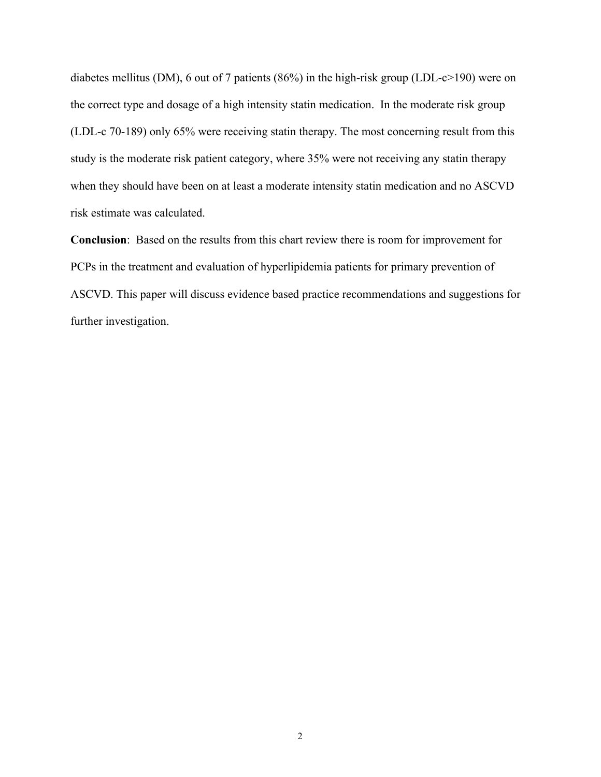diabetes mellitus (DM), 6 out of 7 patients (86%) in the high-risk group (LDL-c>190) were on the correct type and dosage of a high intensity statin medication. In the moderate risk group (LDL-c 70-189) only 65% were receiving statin therapy. The most concerning result from this study is the moderate risk patient category, where 35% were not receiving any statin therapy when they should have been on at least a moderate intensity statin medication and no ASCVD risk estimate was calculated.

**Conclusion**: Based on the results from this chart review there is room for improvement for PCPs in the treatment and evaluation of hyperlipidemia patients for primary prevention of ASCVD. This paper will discuss evidence based practice recommendations and suggestions for further investigation.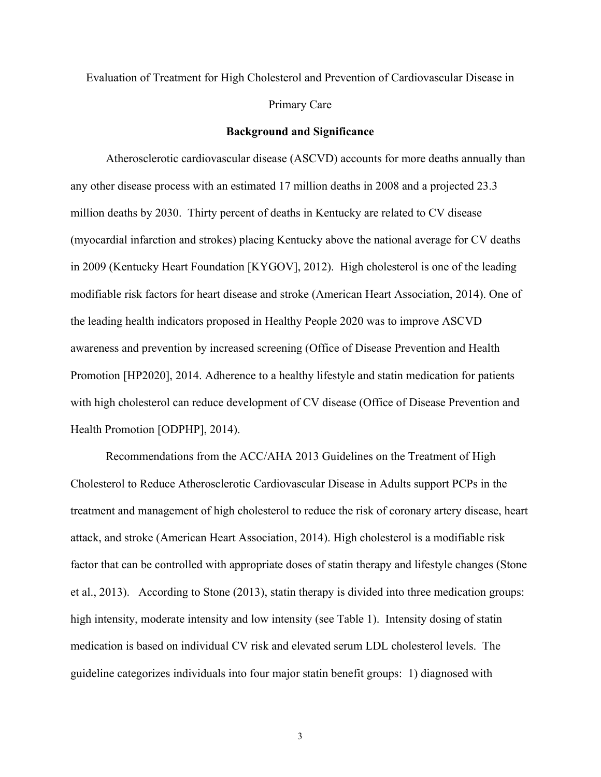# Evaluation of Treatment for High Cholesterol and Prevention of Cardiovascular Disease in Primary Care

#### **Background and Significance**

Atherosclerotic cardiovascular disease (ASCVD) accounts for more deaths annually than any other disease process with an estimated 17 million deaths in 2008 and a projected 23.3 million deaths by 2030. Thirty percent of deaths in Kentucky are related to CV disease (myocardial infarction and strokes) placing Kentucky above the national average for CV deaths in 2009 (Kentucky Heart Foundation [KYGOV], 2012). High cholesterol is one of the leading modifiable risk factors for heart disease and stroke (American Heart Association, 2014). One of the leading health indicators proposed in Healthy People 2020 was to improve ASCVD awareness and prevention by increased screening (Office of Disease Prevention and Health Promotion [HP2020], 2014. Adherence to a healthy lifestyle and statin medication for patients with high cholesterol can reduce development of CV disease (Office of Disease Prevention and Health Promotion [ODPHP], 2014).

Recommendations from the ACC/AHA 2013 Guidelines on the Treatment of High Cholesterol to Reduce Atherosclerotic Cardiovascular Disease in Adults support PCPs in the treatment and management of high cholesterol to reduce the risk of coronary artery disease, heart attack, and stroke (American Heart Association, 2014). High cholesterol is a modifiable risk factor that can be controlled with appropriate doses of statin therapy and lifestyle changes (Stone et al., 2013). According to Stone (2013), statin therapy is divided into three medication groups: high intensity, moderate intensity and low intensity (see Table 1). Intensity dosing of statin medication is based on individual CV risk and elevated serum LDL cholesterol levels. The guideline categorizes individuals into four major statin benefit groups: 1) diagnosed with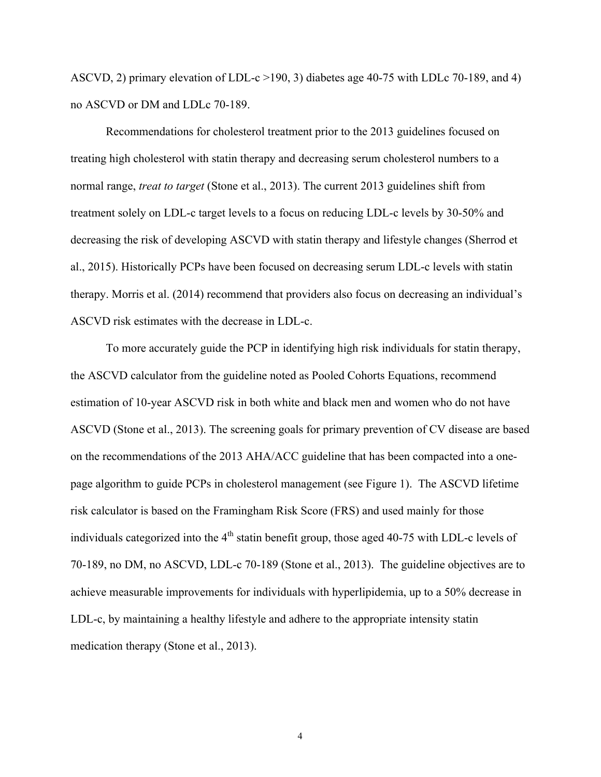ASCVD, 2) primary elevation of LDL-c >190, 3) diabetes age 40-75 with LDLc 70-189, and 4) no ASCVD or DM and LDLc 70-189.

Recommendations for cholesterol treatment prior to the 2013 guidelines focused on treating high cholesterol with statin therapy and decreasing serum cholesterol numbers to a normal range, *treat to target* (Stone et al., 2013). The current 2013 guidelines shift from treatment solely on LDL-c target levels to a focus on reducing LDL-c levels by 30-50% and decreasing the risk of developing ASCVD with statin therapy and lifestyle changes (Sherrod et al., 2015). Historically PCPs have been focused on decreasing serum LDL-c levels with statin therapy. Morris et al. (2014) recommend that providers also focus on decreasing an individual's ASCVD risk estimates with the decrease in LDL-c.

To more accurately guide the PCP in identifying high risk individuals for statin therapy, the ASCVD calculator from the guideline noted as Pooled Cohorts Equations, recommend estimation of 10-year ASCVD risk in both white and black men and women who do not have ASCVD (Stone et al., 2013). The screening goals for primary prevention of CV disease are based on the recommendations of the 2013 AHA/ACC guideline that has been compacted into a onepage algorithm to guide PCPs in cholesterol management (see Figure 1). The ASCVD lifetime risk calculator is based on the Framingham Risk Score (FRS) and used mainly for those individuals categorized into the  $4<sup>th</sup>$  statin benefit group, those aged 40-75 with LDL-c levels of 70-189, no DM, no ASCVD, LDL-c 70-189 (Stone et al., 2013). The guideline objectives are to achieve measurable improvements for individuals with hyperlipidemia, up to a 50% decrease in LDL-c, by maintaining a healthy lifestyle and adhere to the appropriate intensity statin medication therapy (Stone et al., 2013).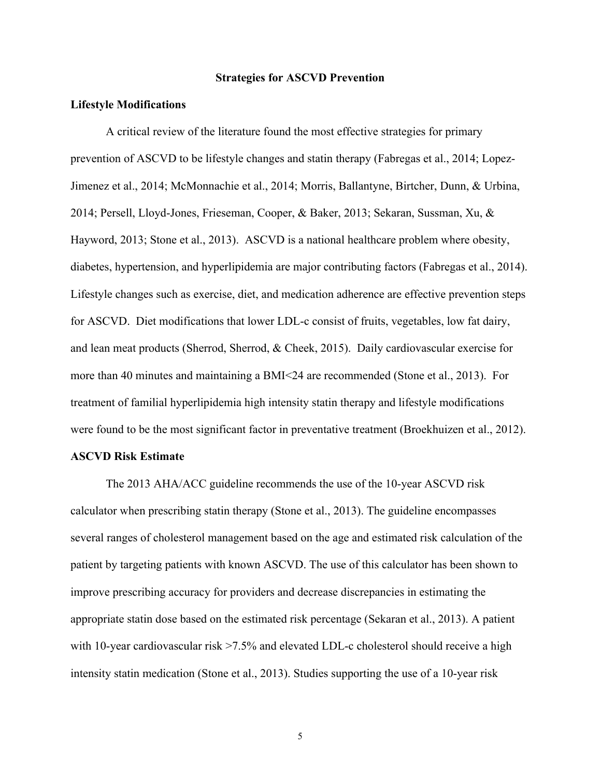#### **Strategies for ASCVD Prevention**

#### **Lifestyle Modifications**

A critical review of the literature found the most effective strategies for primary prevention of ASCVD to be lifestyle changes and statin therapy (Fabregas et al., 2014; Lopez-Jimenez et al., 2014; McMonnachie et al., 2014; Morris, Ballantyne, Birtcher, Dunn, & Urbina, 2014; Persell, Lloyd-Jones, Frieseman, Cooper, & Baker, 2013; Sekaran, Sussman, Xu, & Hayword, 2013; Stone et al., 2013). ASCVD is a national healthcare problem where obesity, diabetes, hypertension, and hyperlipidemia are major contributing factors (Fabregas et al., 2014). Lifestyle changes such as exercise, diet, and medication adherence are effective prevention steps for ASCVD. Diet modifications that lower LDL-c consist of fruits, vegetables, low fat dairy, and lean meat products (Sherrod, Sherrod, & Cheek, 2015). Daily cardiovascular exercise for more than 40 minutes and maintaining a BMI<24 are recommended (Stone et al., 2013). For treatment of familial hyperlipidemia high intensity statin therapy and lifestyle modifications were found to be the most significant factor in preventative treatment (Broekhuizen et al., 2012).

#### **ASCVD Risk Estimate**

The 2013 AHA/ACC guideline recommends the use of the 10-year ASCVD risk calculator when prescribing statin therapy (Stone et al., 2013). The guideline encompasses several ranges of cholesterol management based on the age and estimated risk calculation of the patient by targeting patients with known ASCVD. The use of this calculator has been shown to improve prescribing accuracy for providers and decrease discrepancies in estimating the appropriate statin dose based on the estimated risk percentage (Sekaran et al., 2013). A patient with 10-year cardiovascular risk >7.5% and elevated LDL-c cholesterol should receive a high intensity statin medication (Stone et al., 2013). Studies supporting the use of a 10-year risk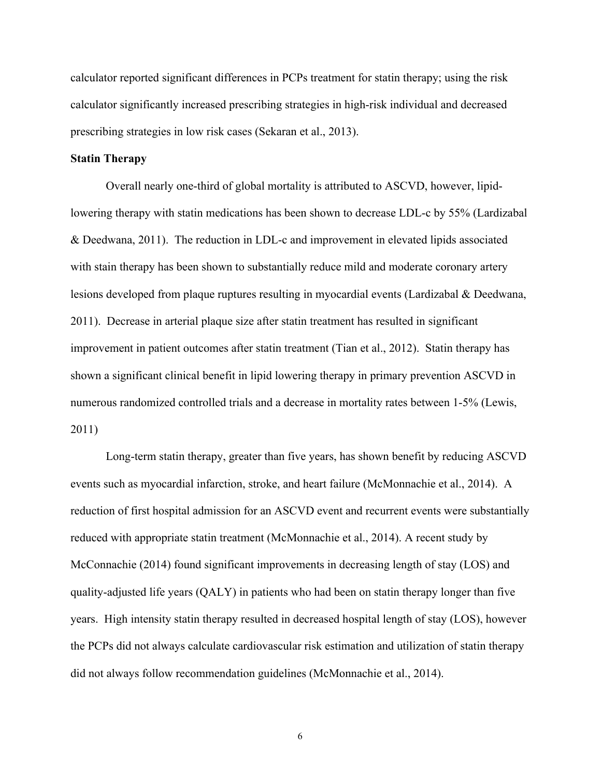calculator reported significant differences in PCPs treatment for statin therapy; using the risk calculator significantly increased prescribing strategies in high-risk individual and decreased prescribing strategies in low risk cases (Sekaran et al., 2013).

#### **Statin Therapy**

Overall nearly one-third of global mortality is attributed to ASCVD, however, lipidlowering therapy with statin medications has been shown to decrease LDL-c by 55% (Lardizabal & Deedwana, 2011). The reduction in LDL-c and improvement in elevated lipids associated with stain therapy has been shown to substantially reduce mild and moderate coronary artery lesions developed from plaque ruptures resulting in myocardial events (Lardizabal & Deedwana, 2011). Decrease in arterial plaque size after statin treatment has resulted in significant improvement in patient outcomes after statin treatment (Tian et al., 2012). Statin therapy has shown a significant clinical benefit in lipid lowering therapy in primary prevention ASCVD in numerous randomized controlled trials and a decrease in mortality rates between 1-5% (Lewis, 2011)

Long-term statin therapy, greater than five years, has shown benefit by reducing ASCVD events such as myocardial infarction, stroke, and heart failure (McMonnachie et al., 2014). A reduction of first hospital admission for an ASCVD event and recurrent events were substantially reduced with appropriate statin treatment (McMonnachie et al., 2014). A recent study by McConnachie (2014) found significant improvements in decreasing length of stay (LOS) and quality-adjusted life years (QALY) in patients who had been on statin therapy longer than five years. High intensity statin therapy resulted in decreased hospital length of stay (LOS), however the PCPs did not always calculate cardiovascular risk estimation and utilization of statin therapy did not always follow recommendation guidelines (McMonnachie et al., 2014).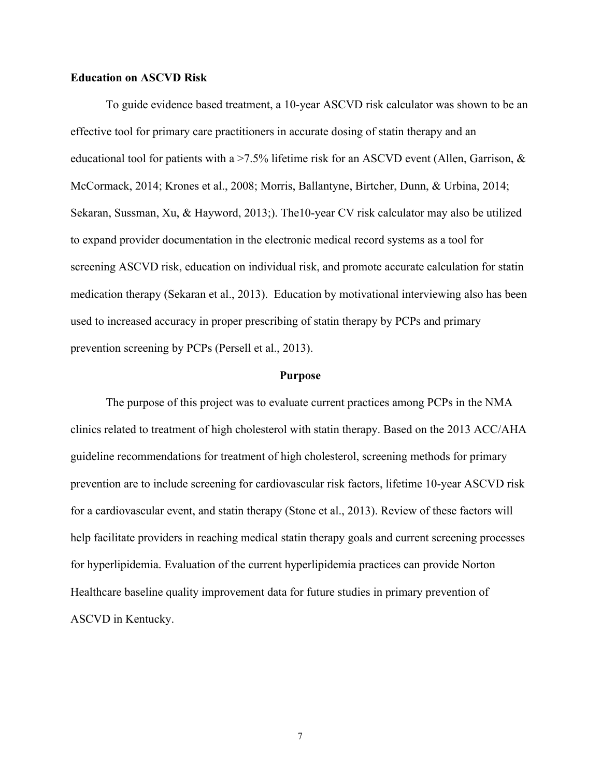#### **Education on ASCVD Risk**

To guide evidence based treatment, a 10-year ASCVD risk calculator was shown to be an effective tool for primary care practitioners in accurate dosing of statin therapy and an educational tool for patients with a  $>7.5\%$  lifetime risk for an ASCVD event (Allen, Garrison,  $\&$ McCormack, 2014; Krones et al., 2008; Morris, Ballantyne, Birtcher, Dunn, & Urbina, 2014; Sekaran, Sussman, Xu, & Hayword, 2013;). The10-year CV risk calculator may also be utilized to expand provider documentation in the electronic medical record systems as a tool for screening ASCVD risk, education on individual risk, and promote accurate calculation for statin medication therapy (Sekaran et al., 2013). Education by motivational interviewing also has been used to increased accuracy in proper prescribing of statin therapy by PCPs and primary prevention screening by PCPs (Persell et al., 2013).

#### **Purpose**

The purpose of this project was to evaluate current practices among PCPs in the NMA clinics related to treatment of high cholesterol with statin therapy. Based on the 2013 ACC/AHA guideline recommendations for treatment of high cholesterol, screening methods for primary prevention are to include screening for cardiovascular risk factors, lifetime 10-year ASCVD risk for a cardiovascular event, and statin therapy (Stone et al., 2013). Review of these factors will help facilitate providers in reaching medical statin therapy goals and current screening processes for hyperlipidemia. Evaluation of the current hyperlipidemia practices can provide Norton Healthcare baseline quality improvement data for future studies in primary prevention of ASCVD in Kentucky.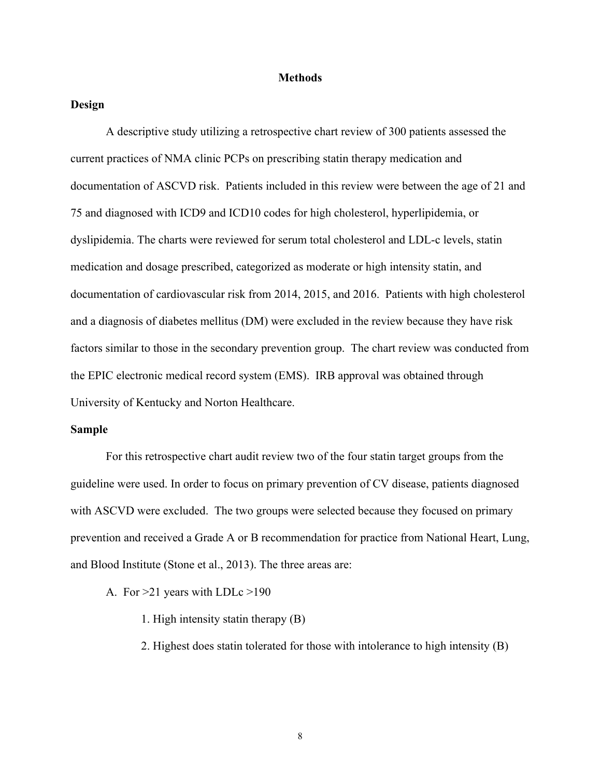#### **Methods**

#### **Design**

A descriptive study utilizing a retrospective chart review of 300 patients assessed the current practices of NMA clinic PCPs on prescribing statin therapy medication and documentation of ASCVD risk. Patients included in this review were between the age of 21 and 75 and diagnosed with ICD9 and ICD10 codes for high cholesterol, hyperlipidemia, or dyslipidemia. The charts were reviewed for serum total cholesterol and LDL-c levels, statin medication and dosage prescribed, categorized as moderate or high intensity statin, and documentation of cardiovascular risk from 2014, 2015, and 2016. Patients with high cholesterol and a diagnosis of diabetes mellitus (DM) were excluded in the review because they have risk factors similar to those in the secondary prevention group. The chart review was conducted from the EPIC electronic medical record system (EMS). IRB approval was obtained through University of Kentucky and Norton Healthcare.

#### **Sample**

For this retrospective chart audit review two of the four statin target groups from the guideline were used. In order to focus on primary prevention of CV disease, patients diagnosed with ASCVD were excluded. The two groups were selected because they focused on primary prevention and received a Grade A or B recommendation for practice from National Heart, Lung, and Blood Institute (Stone et al., 2013). The three areas are:

A. For >21 years with LDLc >190

1. High intensity statin therapy (B)

2. Highest does statin tolerated for those with intolerance to high intensity (B)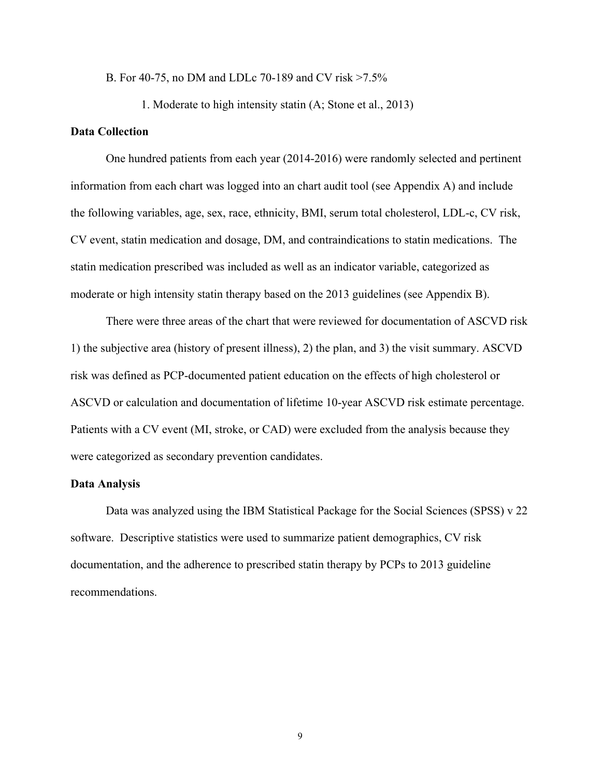B. For 40-75, no DM and LDLc 70-189 and CV risk >7.5%

1. Moderate to high intensity statin (A; Stone et al., 2013)

#### **Data Collection**

One hundred patients from each year (2014-2016) were randomly selected and pertinent information from each chart was logged into an chart audit tool (see Appendix A) and include the following variables, age, sex, race, ethnicity, BMI, serum total cholesterol, LDL-c, CV risk, CV event, statin medication and dosage, DM, and contraindications to statin medications. The statin medication prescribed was included as well as an indicator variable, categorized as moderate or high intensity statin therapy based on the 2013 guidelines (see Appendix B).

There were three areas of the chart that were reviewed for documentation of ASCVD risk 1) the subjective area (history of present illness), 2) the plan, and 3) the visit summary. ASCVD risk was defined as PCP-documented patient education on the effects of high cholesterol or ASCVD or calculation and documentation of lifetime 10-year ASCVD risk estimate percentage. Patients with a CV event (MI, stroke, or CAD) were excluded from the analysis because they were categorized as secondary prevention candidates.

#### **Data Analysis**

Data was analyzed using the IBM Statistical Package for the Social Sciences (SPSS) v 22 software. Descriptive statistics were used to summarize patient demographics, CV risk documentation, and the adherence to prescribed statin therapy by PCPs to 2013 guideline recommendations.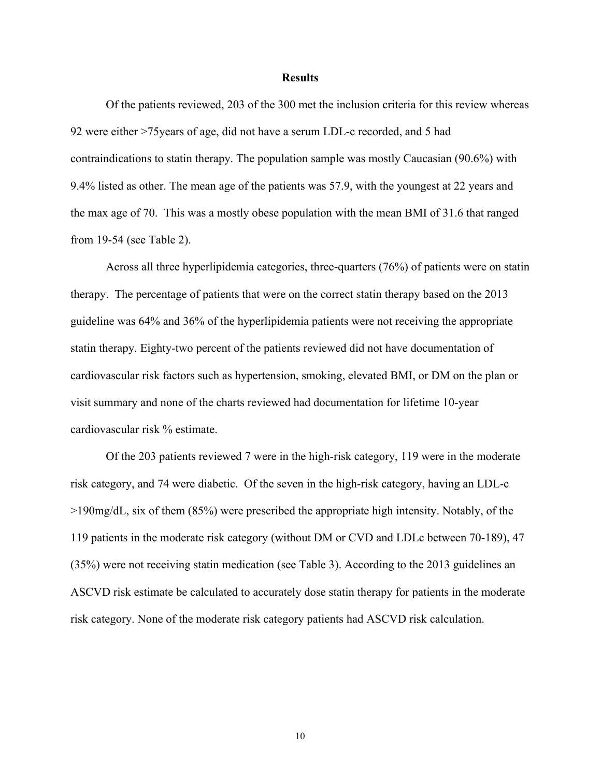#### **Results**

Of the patients reviewed, 203 of the 300 met the inclusion criteria for this review whereas 92 were either >75years of age, did not have a serum LDL-c recorded, and 5 had contraindications to statin therapy. The population sample was mostly Caucasian (90.6%) with 9.4% listed as other. The mean age of the patients was 57.9, with the youngest at 22 years and the max age of 70. This was a mostly obese population with the mean BMI of 31.6 that ranged from 19-54 (see Table 2).

Across all three hyperlipidemia categories, three-quarters (76%) of patients were on statin therapy. The percentage of patients that were on the correct statin therapy based on the 2013 guideline was 64% and 36% of the hyperlipidemia patients were not receiving the appropriate statin therapy. Eighty-two percent of the patients reviewed did not have documentation of cardiovascular risk factors such as hypertension, smoking, elevated BMI, or DM on the plan or visit summary and none of the charts reviewed had documentation for lifetime 10-year cardiovascular risk % estimate.

Of the 203 patients reviewed 7 were in the high-risk category, 119 were in the moderate risk category, and 74 were diabetic. Of the seven in the high-risk category, having an LDL-c >190mg/dL, six of them (85%) were prescribed the appropriate high intensity. Notably, of the 119 patients in the moderate risk category (without DM or CVD and LDLc between 70-189), 47 (35%) were not receiving statin medication (see Table 3). According to the 2013 guidelines an ASCVD risk estimate be calculated to accurately dose statin therapy for patients in the moderate risk category. None of the moderate risk category patients had ASCVD risk calculation.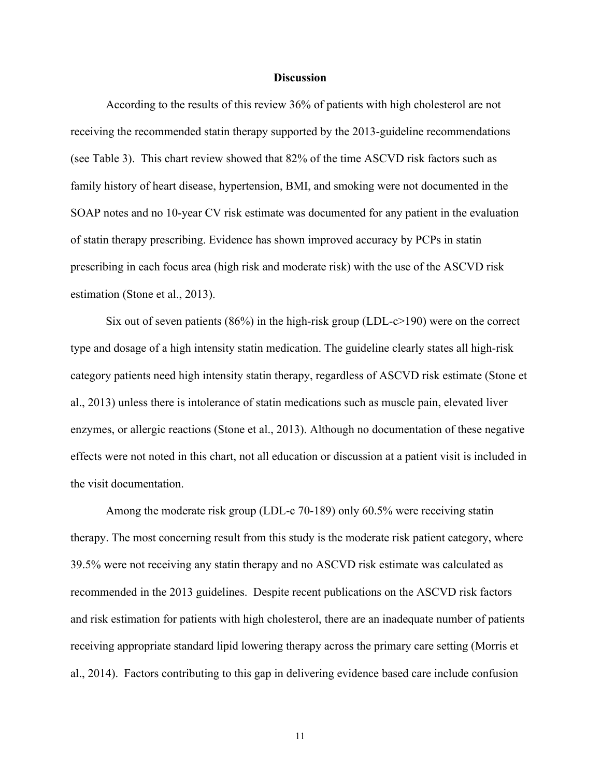#### **Discussion**

According to the results of this review 36% of patients with high cholesterol are not receiving the recommended statin therapy supported by the 2013-guideline recommendations (see Table 3). This chart review showed that 82% of the time ASCVD risk factors such as family history of heart disease, hypertension, BMI, and smoking were not documented in the SOAP notes and no 10-year CV risk estimate was documented for any patient in the evaluation of statin therapy prescribing. Evidence has shown improved accuracy by PCPs in statin prescribing in each focus area (high risk and moderate risk) with the use of the ASCVD risk estimation (Stone et al., 2013).

Six out of seven patients  $(86%)$  in the high-risk group (LDL-c $>190$ ) were on the correct type and dosage of a high intensity statin medication. The guideline clearly states all high-risk category patients need high intensity statin therapy, regardless of ASCVD risk estimate (Stone et al., 2013) unless there is intolerance of statin medications such as muscle pain, elevated liver enzymes, or allergic reactions (Stone et al., 2013). Although no documentation of these negative effects were not noted in this chart, not all education or discussion at a patient visit is included in the visit documentation.

Among the moderate risk group (LDL-c 70-189) only 60.5% were receiving statin therapy. The most concerning result from this study is the moderate risk patient category, where 39.5% were not receiving any statin therapy and no ASCVD risk estimate was calculated as recommended in the 2013 guidelines. Despite recent publications on the ASCVD risk factors and risk estimation for patients with high cholesterol, there are an inadequate number of patients receiving appropriate standard lipid lowering therapy across the primary care setting (Morris et al., 2014). Factors contributing to this gap in delivering evidence based care include confusion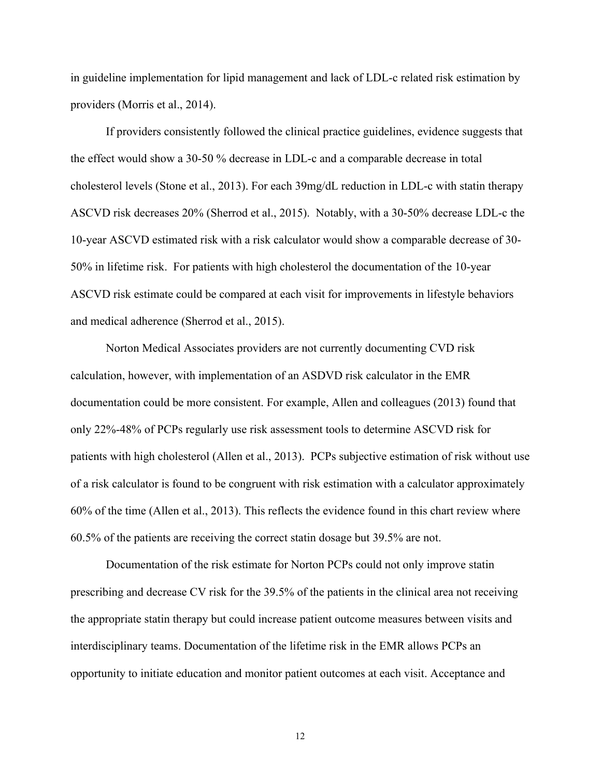in guideline implementation for lipid management and lack of LDL-c related risk estimation by providers (Morris et al., 2014).

If providers consistently followed the clinical practice guidelines, evidence suggests that the effect would show a 30-50 % decrease in LDL-c and a comparable decrease in total cholesterol levels (Stone et al., 2013). For each 39mg/dL reduction in LDL-c with statin therapy ASCVD risk decreases 20% (Sherrod et al., 2015). Notably, with a 30-50% decrease LDL-c the 10-year ASCVD estimated risk with a risk calculator would show a comparable decrease of 30- 50% in lifetime risk. For patients with high cholesterol the documentation of the 10-year ASCVD risk estimate could be compared at each visit for improvements in lifestyle behaviors and medical adherence (Sherrod et al., 2015).

Norton Medical Associates providers are not currently documenting CVD risk calculation, however, with implementation of an ASDVD risk calculator in the EMR documentation could be more consistent. For example, Allen and colleagues (2013) found that only 22%-48% of PCPs regularly use risk assessment tools to determine ASCVD risk for patients with high cholesterol (Allen et al., 2013). PCPs subjective estimation of risk without use of a risk calculator is found to be congruent with risk estimation with a calculator approximately 60% of the time (Allen et al., 2013). This reflects the evidence found in this chart review where 60.5% of the patients are receiving the correct statin dosage but 39.5% are not.

Documentation of the risk estimate for Norton PCPs could not only improve statin prescribing and decrease CV risk for the 39.5% of the patients in the clinical area not receiving the appropriate statin therapy but could increase patient outcome measures between visits and interdisciplinary teams. Documentation of the lifetime risk in the EMR allows PCPs an opportunity to initiate education and monitor patient outcomes at each visit. Acceptance and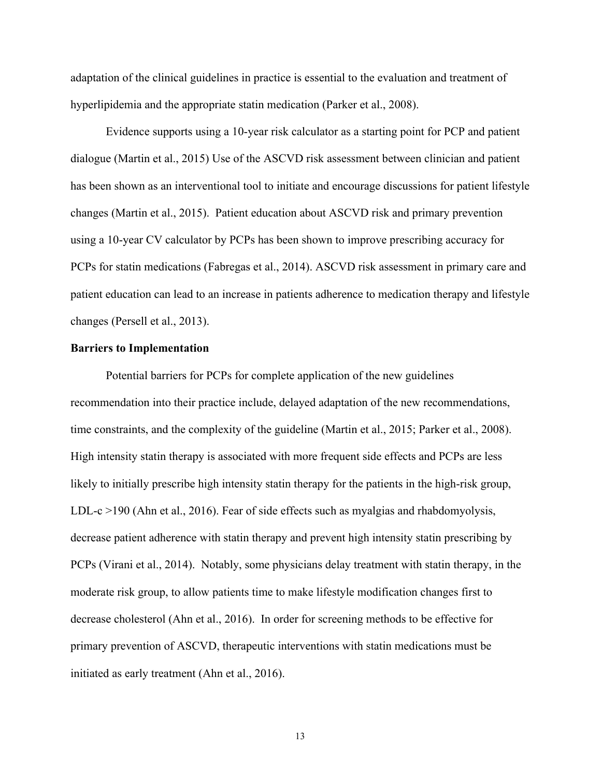adaptation of the clinical guidelines in practice is essential to the evaluation and treatment of hyperlipidemia and the appropriate statin medication (Parker et al., 2008).

Evidence supports using a 10-year risk calculator as a starting point for PCP and patient dialogue (Martin et al., 2015) Use of the ASCVD risk assessment between clinician and patient has been shown as an interventional tool to initiate and encourage discussions for patient lifestyle changes (Martin et al., 2015). Patient education about ASCVD risk and primary prevention using a 10-year CV calculator by PCPs has been shown to improve prescribing accuracy for PCPs for statin medications (Fabregas et al., 2014). ASCVD risk assessment in primary care and patient education can lead to an increase in patients adherence to medication therapy and lifestyle changes (Persell et al., 2013).

#### **Barriers to Implementation**

Potential barriers for PCPs for complete application of the new guidelines recommendation into their practice include, delayed adaptation of the new recommendations, time constraints, and the complexity of the guideline (Martin et al., 2015; Parker et al., 2008). High intensity statin therapy is associated with more frequent side effects and PCPs are less likely to initially prescribe high intensity statin therapy for the patients in the high-risk group, LDL-c >190 (Ahn et al., 2016). Fear of side effects such as myalgias and rhabdomyolysis, decrease patient adherence with statin therapy and prevent high intensity statin prescribing by PCPs (Virani et al., 2014). Notably, some physicians delay treatment with statin therapy, in the moderate risk group, to allow patients time to make lifestyle modification changes first to decrease cholesterol (Ahn et al., 2016). In order for screening methods to be effective for primary prevention of ASCVD, therapeutic interventions with statin medications must be initiated as early treatment (Ahn et al., 2016).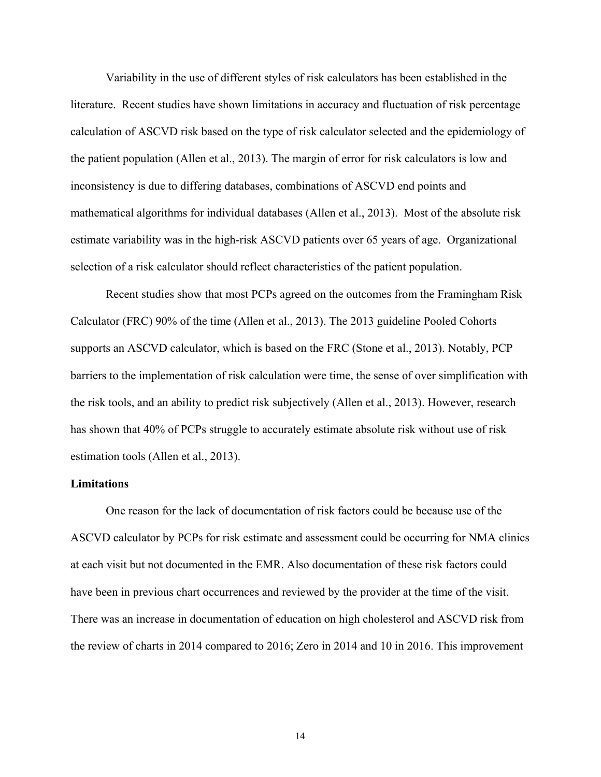Variability in the use of different styles of risk calculators has been established in the literature. Recent studies have shown limitations in accuracy and fluctuation of risk percentage calculation of ASCVD risk based on the type of risk calculator selected and the epidemiology of the patient population (Allen et al., 2013). The margin of error for risk calculators is low and inconsistency is due to differing databases, combinations of ASCVD end points and mathematical algorithms for individual databases (Allen et al., 2013). Most of the absolute risk estimate variability was in the high-risk ASCVD patients over 65 years of age. Organizational selection of a risk calculator should reflect characteristics of the patient population.

Recent studies show that most PCPs agreed on the outcomes from the Framingham Risk Calculator (FRC) 90% of the time (Allen et al., 2013). The 2013 guideline Pooled Cohorts supports an ASCVD calculator, which is based on the FRC (Stone et al., 2013). Notably, PCP barriers to the implementation of risk calculation were time, the sense of over simplification with the risk tools, and an ability to predict risk subjectively (Allen et al., 2013). However, research has shown that 40% of PCPs struggle to accurately estimate absolute risk without use of risk estimation tools (Allen et al., 2013).

#### **Limitations**

One reason for the lack of documentation of risk factors could be because use of the ASCVD calculator by PCPs for risk estimate and assessment could be occurring for NMA clinics at each visit but not documented in the EMR. Also documentation of these risk factors could have been in previous chart occurrences and reviewed by the provider at the time of the visit. There was an increase in documentation of education on high cholesterol and ASCVD risk from the review of charts in 2014 compared to 2016; Zero in 2014 and 10 in 2016. This improvement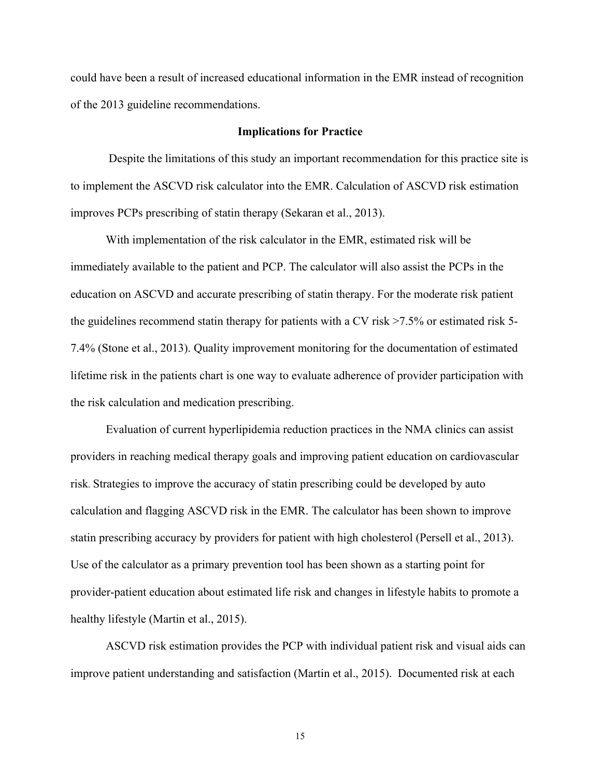could have been a result of increased educational information in the EMR instead of recognition of the 2013 guideline recommendations.

#### **Implications for Practice**

Despite the limitations of this study an important recommendation for this practice site is to implement the ASCVD risk calculator into the EMR. Calculation of ASCVD risk estimation improves PCPs prescribing of statin therapy (Sekaran et al., 2013).

With implementation of the risk calculator in the EMR, estimated risk will be immediately available to the patient and PCP. The calculator will also assist the PCPs in the education on ASCVD and accurate prescribing of statin therapy. For the moderate risk patient the guidelines recommend statin therapy for patients with a CV risk >7.5% or estimated risk 5- 7.4% (Stone et al., 2013). Quality improvement monitoring for the documentation of estimated lifetime risk in the patients chart is one way to evaluate adherence of provider participation with the risk calculation and medication prescribing.

Evaluation of current hyperlipidemia reduction practices in the NMA clinics can assist providers in reaching medical therapy goals and improving patient education on cardiovascular risk. Strategies to improve the accuracy of statin prescribing could be developed by auto calculation and flagging ASCVD risk in the EMR. The calculator has been shown to improve statin prescribing accuracy by providers for patient with high cholesterol (Persell et al., 2013). Use of the calculator as a primary prevention tool has been shown as a starting point for provider-patient education about estimated life risk and changes in lifestyle habits to promote a healthy lifestyle (Martin et al., 2015).

ASCVD risk estimation provides the PCP with individual patient risk and visual aids can improve patient understanding and satisfaction (Martin et al., 2015). Documented risk at each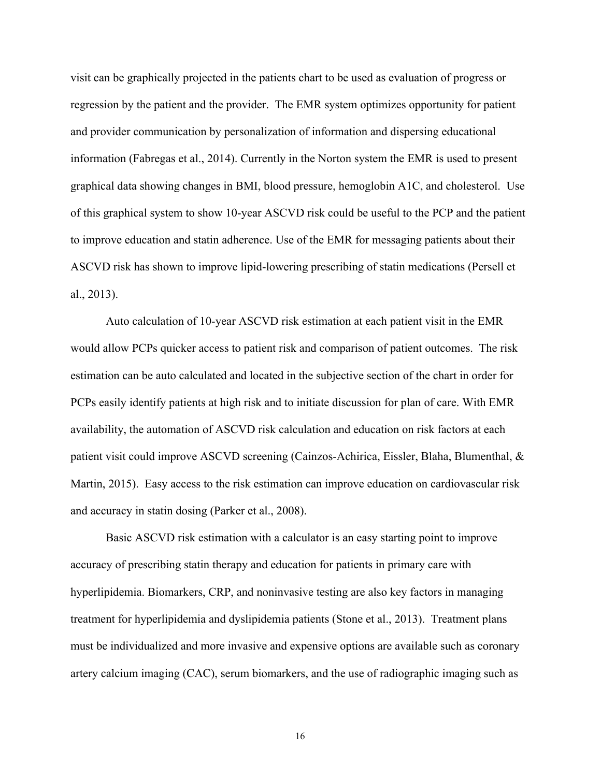visit can be graphically projected in the patients chart to be used as evaluation of progress or regression by the patient and the provider. The EMR system optimizes opportunity for patient and provider communication by personalization of information and dispersing educational information (Fabregas et al., 2014). Currently in the Norton system the EMR is used to present graphical data showing changes in BMI, blood pressure, hemoglobin A1C, and cholesterol. Use of this graphical system to show 10-year ASCVD risk could be useful to the PCP and the patient to improve education and statin adherence. Use of the EMR for messaging patients about their ASCVD risk has shown to improve lipid-lowering prescribing of statin medications (Persell et al., 2013).

Auto calculation of 10-year ASCVD risk estimation at each patient visit in the EMR would allow PCPs quicker access to patient risk and comparison of patient outcomes. The risk estimation can be auto calculated and located in the subjective section of the chart in order for PCPs easily identify patients at high risk and to initiate discussion for plan of care. With EMR availability, the automation of ASCVD risk calculation and education on risk factors at each patient visit could improve ASCVD screening (Cainzos-Achirica, Eissler, Blaha, Blumenthal, & Martin, 2015). Easy access to the risk estimation can improve education on cardiovascular risk and accuracy in statin dosing (Parker et al., 2008).

Basic ASCVD risk estimation with a calculator is an easy starting point to improve accuracy of prescribing statin therapy and education for patients in primary care with hyperlipidemia. Biomarkers, CRP, and noninvasive testing are also key factors in managing treatment for hyperlipidemia and dyslipidemia patients (Stone et al., 2013). Treatment plans must be individualized and more invasive and expensive options are available such as coronary artery calcium imaging (CAC), serum biomarkers, and the use of radiographic imaging such as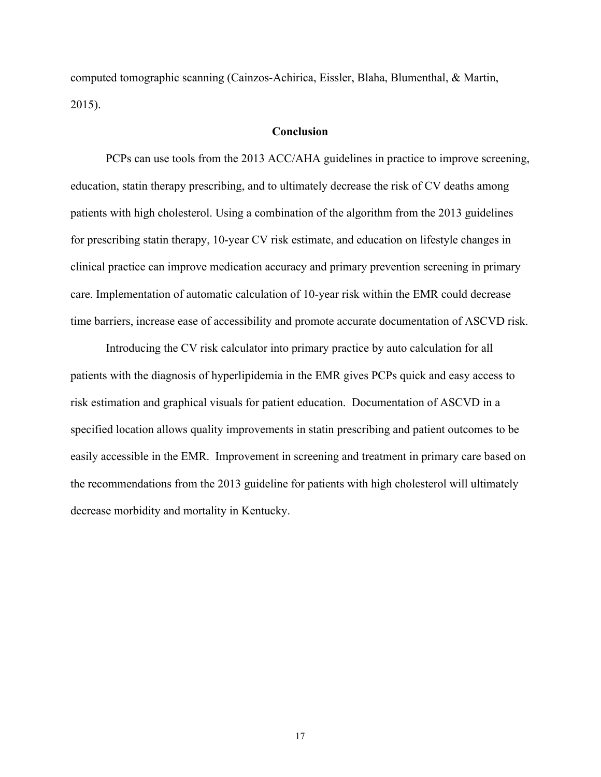computed tomographic scanning (Cainzos-Achirica, Eissler, Blaha, Blumenthal, & Martin, 2015).

#### **Conclusion**

PCPs can use tools from the 2013 ACC/AHA guidelines in practice to improve screening, education, statin therapy prescribing, and to ultimately decrease the risk of CV deaths among patients with high cholesterol. Using a combination of the algorithm from the 2013 guidelines for prescribing statin therapy, 10-year CV risk estimate, and education on lifestyle changes in clinical practice can improve medication accuracy and primary prevention screening in primary care. Implementation of automatic calculation of 10-year risk within the EMR could decrease time barriers, increase ease of accessibility and promote accurate documentation of ASCVD risk.

Introducing the CV risk calculator into primary practice by auto calculation for all patients with the diagnosis of hyperlipidemia in the EMR gives PCPs quick and easy access to risk estimation and graphical visuals for patient education. Documentation of ASCVD in a specified location allows quality improvements in statin prescribing and patient outcomes to be easily accessible in the EMR. Improvement in screening and treatment in primary care based on the recommendations from the 2013 guideline for patients with high cholesterol will ultimately decrease morbidity and mortality in Kentucky.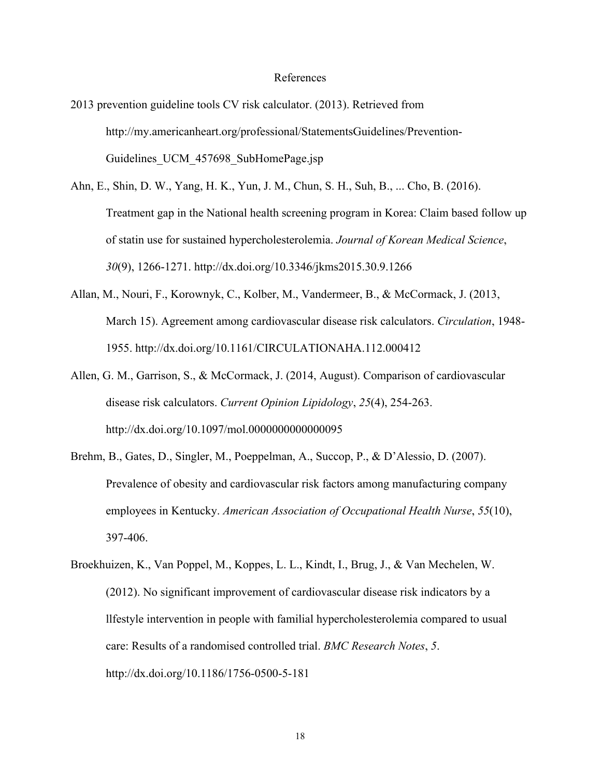#### References

- 2013 prevention guideline tools CV risk calculator. (2013). Retrieved from http://my.americanheart.org/professional/StatementsGuidelines/Prevention-Guidelines UCM 457698 SubHomePage.jsp
- Ahn, E., Shin, D. W., Yang, H. K., Yun, J. M., Chun, S. H., Suh, B., ... Cho, B. (2016). Treatment gap in the National health screening program in Korea: Claim based follow up of statin use for sustained hypercholesterolemia. *Journal of Korean Medical Science*, *30*(9), 1266-1271. http://dx.doi.org/10.3346/jkms2015.30.9.1266
- Allan, M., Nouri, F., Korownyk, C., Kolber, M., Vandermeer, B., & McCormack, J. (2013, March 15). Agreement among cardiovascular disease risk calculators. *Circulation*, 1948- 1955. http://dx.doi.org/10.1161/CIRCULATIONAHA.112.000412
- Allen, G. M., Garrison, S., & McCormack, J. (2014, August). Comparison of cardiovascular disease risk calculators. *Current Opinion Lipidology*, *25*(4), 254-263. http://dx.doi.org/10.1097/mol.0000000000000095
- Brehm, B., Gates, D., Singler, M., Poeppelman, A., Succop, P., & D'Alessio, D. (2007). Prevalence of obesity and cardiovascular risk factors among manufacturing company employees in Kentucky. *American Association of Occupational Health Nurse*, *55*(10), 397-406.
- Broekhuizen, K., Van Poppel, M., Koppes, L. L., Kindt, I., Brug, J., & Van Mechelen, W. (2012). No significant improvement of cardiovascular disease risk indicators by a llfestyle intervention in people with familial hypercholesterolemia compared to usual care: Results of a randomised controlled trial. *BMC Research Notes*, *5*. http://dx.doi.org/10.1186/1756-0500-5-181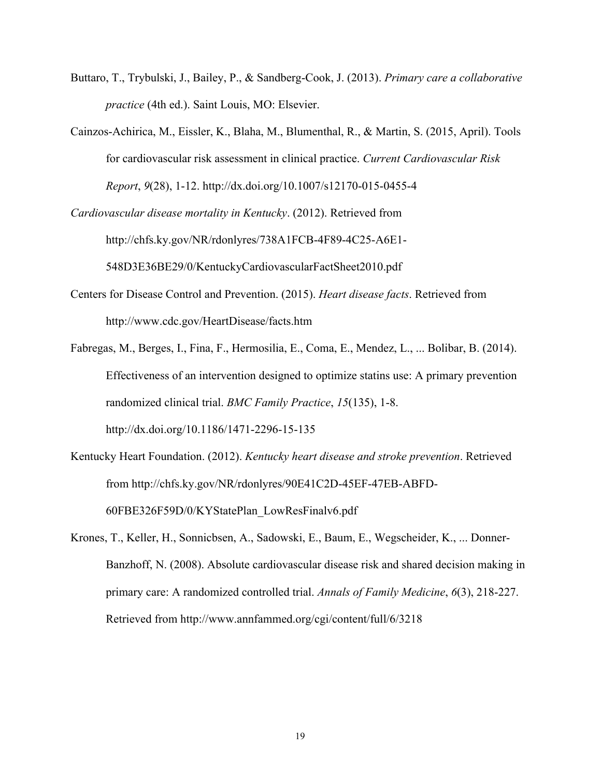- Buttaro, T., Trybulski, J., Bailey, P., & Sandberg-Cook, J. (2013). *Primary care a collaborative practice* (4th ed.). Saint Louis, MO: Elsevier.
- Cainzos-Achirica, M., Eissler, K., Blaha, M., Blumenthal, R., & Martin, S. (2015, April). Tools for cardiovascular risk assessment in clinical practice. *Current Cardiovascular Risk Report*, *9*(28), 1-12. http://dx.doi.org/10.1007/s12170-015-0455-4

*Cardiovascular disease mortality in Kentucky*. (2012). Retrieved from http://chfs.ky.gov/NR/rdonlyres/738A1FCB-4F89-4C25-A6E1- 548D3E36BE29/0/KentuckyCardiovascularFactSheet2010.pdf

- Centers for Disease Control and Prevention. (2015). *Heart disease facts*. Retrieved from http://www.cdc.gov/HeartDisease/facts.htm
- Fabregas, M., Berges, I., Fina, F., Hermosilia, E., Coma, E., Mendez, L., ... Bolibar, B. (2014). Effectiveness of an intervention designed to optimize statins use: A primary prevention randomized clinical trial. *BMC Family Practice*, *15*(135), 1-8. http://dx.doi.org/10.1186/1471-2296-15-135
- Kentucky Heart Foundation. (2012). *Kentucky heart disease and stroke prevention*. Retrieved from http://chfs.ky.gov/NR/rdonlyres/90E41C2D-45EF-47EB-ABFD-60FBE326F59D/0/KYStatePlan\_LowResFinalv6.pdf
- Krones, T., Keller, H., Sonnicbsen, A., Sadowski, E., Baum, E., Wegscheider, K., ... Donner-Banzhoff, N. (2008). Absolute cardiovascular disease risk and shared decision making in primary care: A randomized controlled trial. *Annals of Family Medicine*, *6*(3), 218-227. Retrieved from http://www.annfammed.org/cgi/content/full/6/3218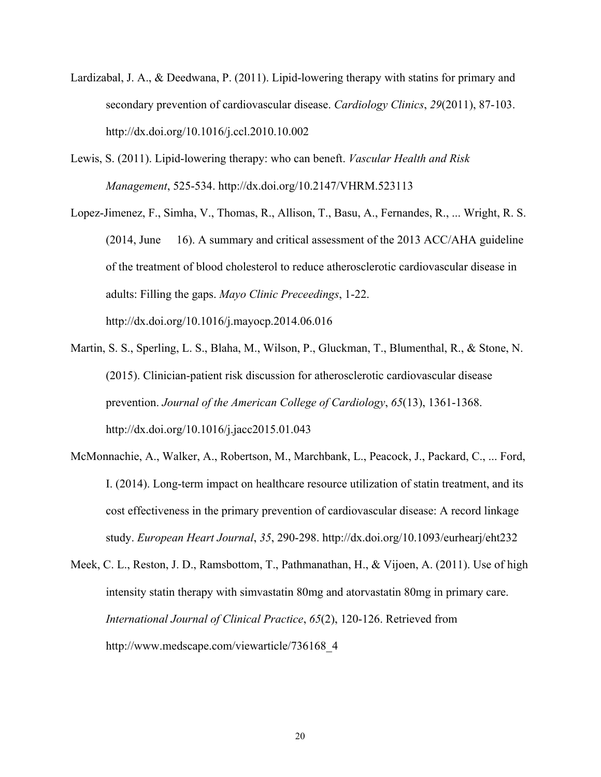- Lardizabal, J. A., & Deedwana, P. (2011). Lipid-lowering therapy with statins for primary and secondary prevention of cardiovascular disease. *Cardiology Clinics*, *29*(2011), 87-103. http://dx.doi.org/10.1016/j.ccl.2010.10.002
- Lewis, S. (2011). Lipid-lowering therapy: who can beneft. *Vascular Health and Risk Management*, 525-534. http://dx.doi.org/10.2147/VHRM.523113
- Lopez-Jimenez, F., Simha, V., Thomas, R., Allison, T., Basu, A., Fernandes, R., ... Wright, R. S. (2014, June 16). A summary and critical assessment of the 2013 ACC/AHA guideline of the treatment of blood cholesterol to reduce atherosclerotic cardiovascular disease in adults: Filling the gaps. *Mayo Clinic Preceedings*, 1-22. http://dx.doi.org/10.1016/j.mayocp.2014.06.016
- Martin, S. S., Sperling, L. S., Blaha, M., Wilson, P., Gluckman, T., Blumenthal, R., & Stone, N. (2015). Clinician-patient risk discussion for atherosclerotic cardiovascular disease prevention. *Journal of the American College of Cardiology*, *65*(13), 1361-1368. http://dx.doi.org/10.1016/j.jacc2015.01.043
- McMonnachie, A., Walker, A., Robertson, M., Marchbank, L., Peacock, J., Packard, C., ... Ford, I. (2014). Long-term impact on healthcare resource utilization of statin treatment, and its cost effectiveness in the primary prevention of cardiovascular disease: A record linkage study. *European Heart Journal*, *35*, 290-298. http://dx.doi.org/10.1093/eurhearj/eht232
- Meek, C. L., Reston, J. D., Ramsbottom, T., Pathmanathan, H., & Vijoen, A. (2011). Use of high intensity statin therapy with simvastatin 80mg and atorvastatin 80mg in primary care. *International Journal of Clinical Practice*, *65*(2), 120-126. Retrieved from http://www.medscape.com/viewarticle/736168\_4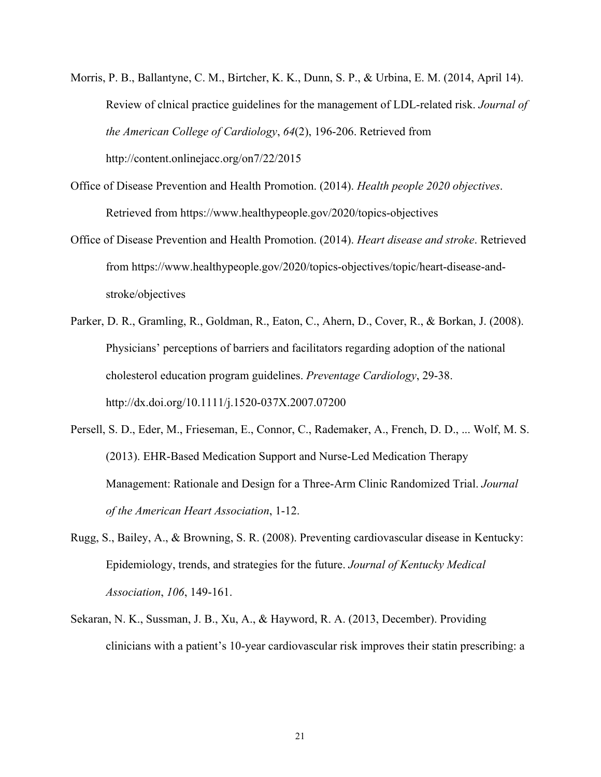- Morris, P. B., Ballantyne, C. M., Birtcher, K. K., Dunn, S. P., & Urbina, E. M. (2014, April 14). Review of clnical practice guidelines for the management of LDL-related risk. *Journal of the American College of Cardiology*, *64*(2), 196-206. Retrieved from http://content.onlinejacc.org/on7/22/2015
- Office of Disease Prevention and Health Promotion. (2014). *Health people 2020 objectives*. Retrieved from https://www.healthypeople.gov/2020/topics-objectives
- Office of Disease Prevention and Health Promotion. (2014). *Heart disease and stroke*. Retrieved from https://www.healthypeople.gov/2020/topics-objectives/topic/heart-disease-andstroke/objectives
- Parker, D. R., Gramling, R., Goldman, R., Eaton, C., Ahern, D., Cover, R., & Borkan, J. (2008). Physicians' perceptions of barriers and facilitators regarding adoption of the national cholesterol education program guidelines. *Preventage Cardiology*, 29-38. http://dx.doi.org/10.1111/j.1520-037X.2007.07200
- Persell, S. D., Eder, M., Frieseman, E., Connor, C., Rademaker, A., French, D. D., ... Wolf, M. S. (2013). EHR-Based Medication Support and Nurse-Led Medication Therapy Management: Rationale and Design for a Three-Arm Clinic Randomized Trial. *Journal of the American Heart Association*, 1-12.
- Rugg, S., Bailey, A., & Browning, S. R. (2008). Preventing cardiovascular disease in Kentucky: Epidemiology, trends, and strategies for the future. *Journal of Kentucky Medical Association*, *106*, 149-161.
- Sekaran, N. K., Sussman, J. B., Xu, A., & Hayword, R. A. (2013, December). Providing clinicians with a patient's 10-year cardiovascular risk improves their statin prescribing: a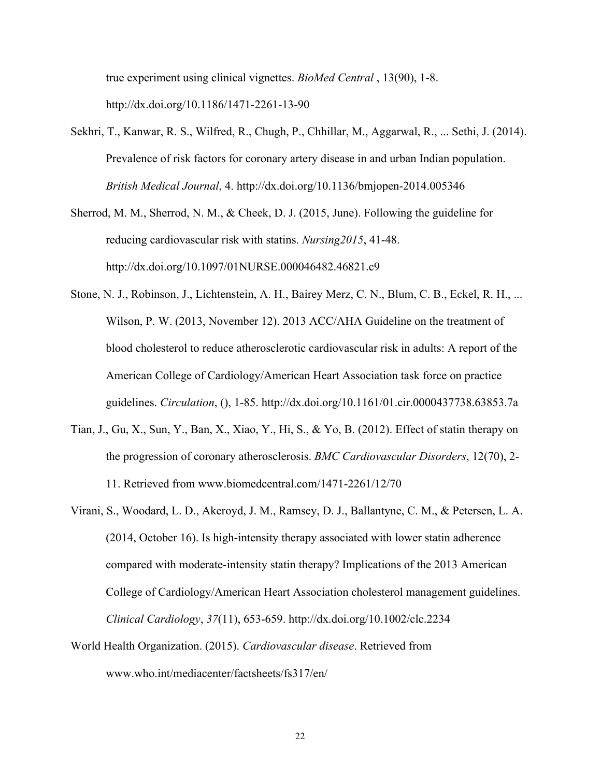true experiment using clinical vignettes. *BioMed Central* , 13(90), 1-8. http://dx.doi.org/10.1186/1471-2261-13-90

- Sekhri, T., Kanwar, R. S., Wilfred, R., Chugh, P., Chhillar, M., Aggarwal, R., ... Sethi, J. (2014). Prevalence of risk factors for coronary artery disease in and urban Indian population. *British Medical Journal*, 4. http://dx.doi.org/10.1136/bmjopen-2014.005346
- Sherrod, M. M., Sherrod, N. M., & Cheek, D. J. (2015, June). Following the guideline for reducing cardiovascular risk with statins. *Nursing2015*, 41-48. http://dx.doi.org/10.1097/01NURSE.000046482.46821.c9
- Stone, N. J., Robinson, J., Lichtenstein, A. H., Bairey Merz, C. N., Blum, C. B., Eckel, R. H., ... Wilson, P. W. (2013, November 12). 2013 ACC/AHA Guideline on the treatment of blood cholesterol to reduce atherosclerotic cardiovascular risk in adults: A report of the American College of Cardiology/American Heart Association task force on practice guidelines. *Circulation*, (), 1-85. http://dx.doi.org/10.1161/01.cir.0000437738.63853.7a
- Tian, J., Gu, X., Sun, Y., Ban, X., Xiao, Y., Hi, S., & Yo, B. (2012). Effect of statin therapy on the progression of coronary atherosclerosis. *BMC Cardiovascular Disorders*, 12(70), 2- 11. Retrieved from www.biomedcentral.com/1471-2261/12/70
- Virani, S., Woodard, L. D., Akeroyd, J. M., Ramsey, D. J., Ballantyne, C. M., & Petersen, L. A. (2014, October 16). Is high-intensity therapy associated with lower statin adherence compared with moderate-intensity statin therapy? Implications of the 2013 American College of Cardiology/American Heart Association cholesterol management guidelines. *Clinical Cardiology*, *37*(11), 653-659. http://dx.doi.org/10.1002/clc.2234
- World Health Organization. (2015). *Cardiovascular disease*. Retrieved from www.who.int/mediacenter/factsheets/fs317/en/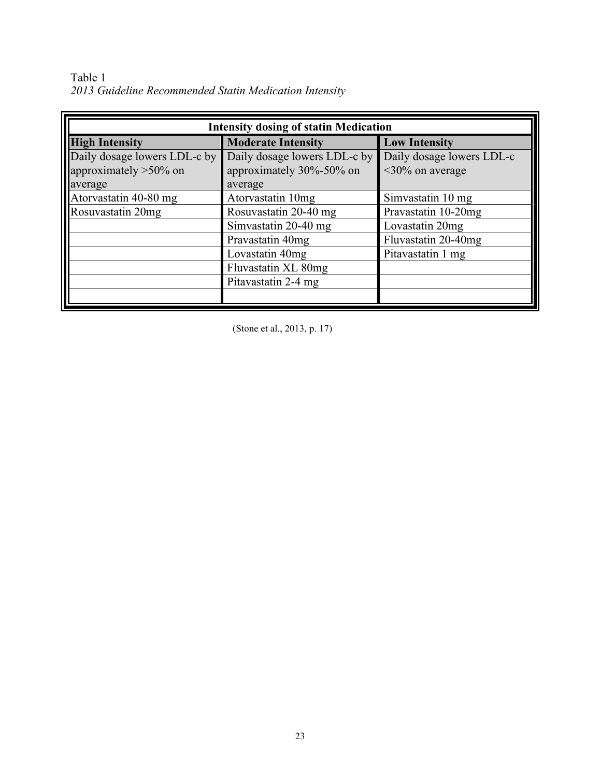Table 1 *2013 Guideline Recommended Statin Medication Intensity* 

| <b>Intensity dosing of statin Medication</b> |                              |                           |  |  |  |
|----------------------------------------------|------------------------------|---------------------------|--|--|--|
| <b>High Intensity</b>                        | <b>Moderate Intensity</b>    | <b>Low Intensity</b>      |  |  |  |
| Daily dosage lowers LDL-c by                 | Daily dosage lowers LDL-c by | Daily dosage lowers LDL-c |  |  |  |
| approximately $>50\%$ on                     | approximately 30%-50% on     | $\leq$ 30% on average     |  |  |  |
| laverage                                     | average                      |                           |  |  |  |
| Atorvastatin 40-80 mg                        | Atorvastatin 10mg            | Simvastatin 10 mg         |  |  |  |
| Rosuvastatin 20mg                            | Rosuvastatin 20-40 mg        | Pravastatin 10-20mg       |  |  |  |
|                                              | Simvastatin 20-40 mg         | Lovastatin 20mg           |  |  |  |
|                                              | Pravastatin 40mg             | Fluvastatin 20-40mg       |  |  |  |
|                                              | Lovastatin 40mg              | Pitavastatin 1 mg         |  |  |  |
|                                              | Fluvastatin XL 80mg          |                           |  |  |  |
|                                              | Pitavastatin 2-4 mg          |                           |  |  |  |
|                                              |                              |                           |  |  |  |

(Stone et al., 2013, p. 17)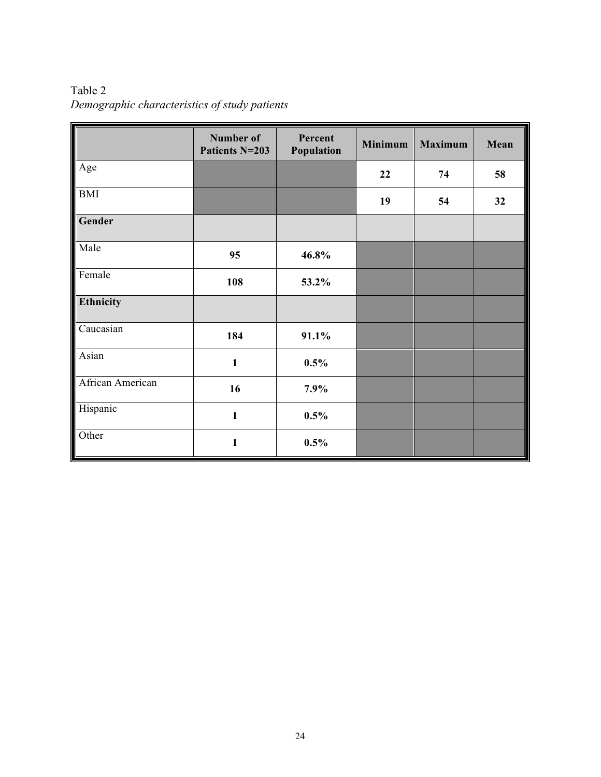|                  | Number of<br>Patients N=203 | Percent<br>Population | <b>Minimum</b> | <b>Maximum</b> | Mean |
|------------------|-----------------------------|-----------------------|----------------|----------------|------|
| Age              |                             |                       | 22             | 74             | 58   |
| <b>BMI</b>       |                             |                       | 19             | 54             | 32   |
| Gender           |                             |                       |                |                |      |
| Male             | 95                          | 46.8%                 |                |                |      |
| Female           | 108                         | 53.2%                 |                |                |      |
| Ethnicity        |                             |                       |                |                |      |
| Caucasian        | 184                         | 91.1%                 |                |                |      |
| Asian            | $\mathbf{1}$                | 0.5%                  |                |                |      |
| African American | 16                          | 7.9%                  |                |                |      |
| Hispanic         | $\mathbf{1}$                | 0.5%                  |                |                |      |
| Other            | $\mathbf{1}$                | 0.5%                  |                |                |      |

Table 2 *Demographic characteristics of study patients*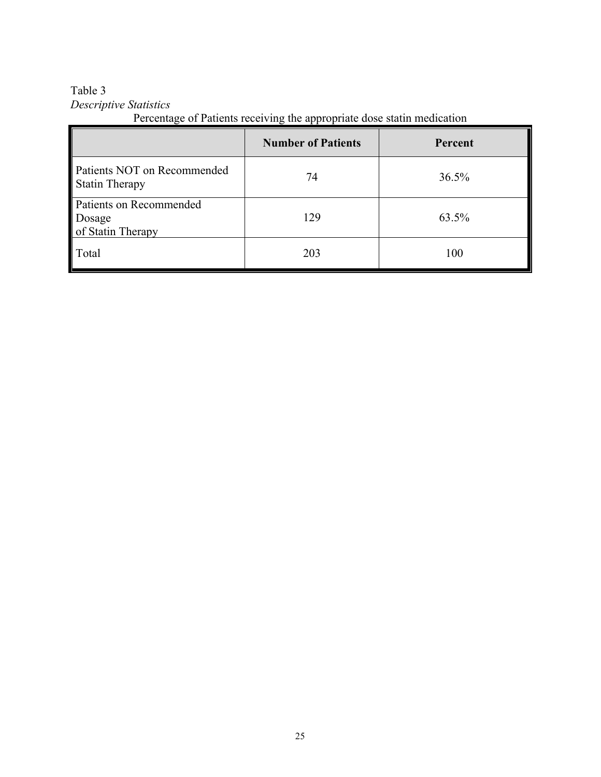# Table 3 *Descriptive Statistics*

Percentage of Patients receiving the appropriate dose statin medication

|                                                        | <b>Number of Patients</b> | Percent |
|--------------------------------------------------------|---------------------------|---------|
| Patients NOT on Recommended<br><b>Statin Therapy</b>   | 74                        | 36.5%   |
| Patients on Recommended<br>Dosage<br>of Statin Therapy | 129                       | 63.5%   |
| Total                                                  | 203                       | 100     |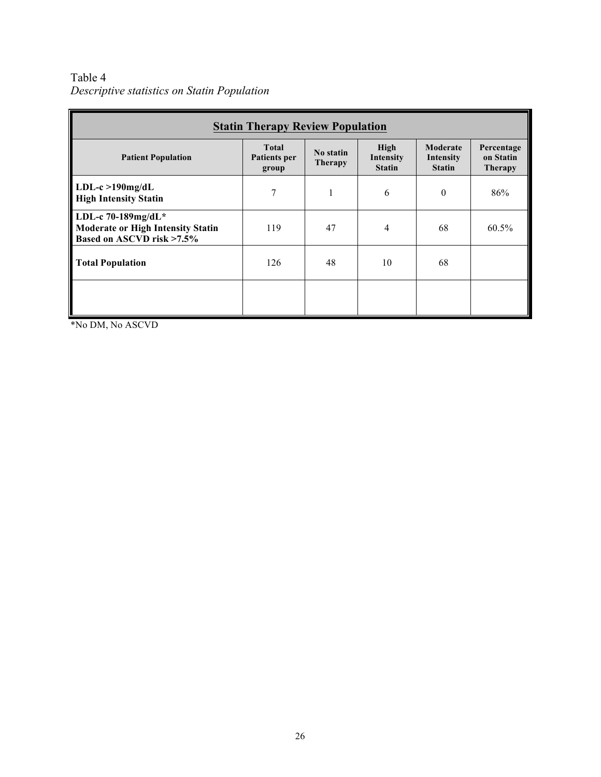Table 4 *Descriptive statistics on Statin Population*

| <b>Statin Therapy Review Population</b>                                                     |                                              |                             |                                    |                                        |                                           |  |  |
|---------------------------------------------------------------------------------------------|----------------------------------------------|-----------------------------|------------------------------------|----------------------------------------|-------------------------------------------|--|--|
| <b>Patient Population</b>                                                                   | <b>Total</b><br><b>Patients per</b><br>group | No statin<br><b>Therapy</b> | High<br>Intensity<br><b>Statin</b> | Moderate<br>Intensity<br><b>Statin</b> | Percentage<br>on Statin<br><b>Therapy</b> |  |  |
| $LDL-c > 190$ mg/d $L$<br><b>High Intensity Statin</b>                                      | 7                                            | ш                           | 6                                  | $\theta$                               | 86%                                       |  |  |
| LDL-c 70-189mg/dL*<br><b>Moderate or High Intensity Statin</b><br>Based on ASCVD risk >7.5% | 119                                          | 47                          | 4                                  | 68                                     | 60.5%                                     |  |  |
| <b>Total Population</b>                                                                     | 126                                          | 48                          | 10                                 | 68                                     |                                           |  |  |
|                                                                                             |                                              |                             |                                    |                                        |                                           |  |  |

\*No DM, No ASCVD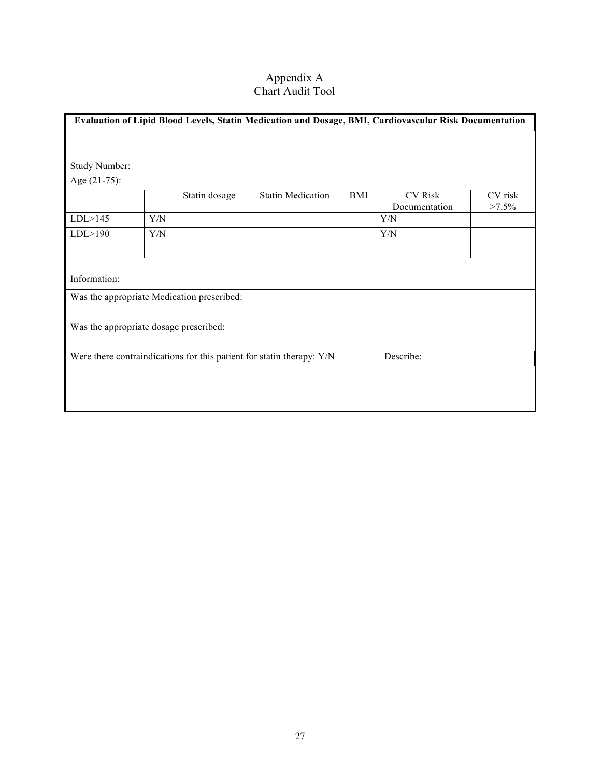### Appendix A Chart Audit Tool

| Evaluation of Lipid Blood Levels, Statin Medication and Dosage, BMI, Cardiovascular Risk Documentation |     |                                            |                          |     |                                 |                     |
|--------------------------------------------------------------------------------------------------------|-----|--------------------------------------------|--------------------------|-----|---------------------------------|---------------------|
|                                                                                                        |     |                                            |                          |     |                                 |                     |
|                                                                                                        |     |                                            |                          |     |                                 |                     |
| Study Number:                                                                                          |     |                                            |                          |     |                                 |                     |
| Age $(21-75)$ :                                                                                        |     |                                            |                          |     |                                 |                     |
|                                                                                                        |     | Statin dosage                              | <b>Statin Medication</b> | BMI | <b>CV</b> Risk<br>Documentation | CV risk<br>$>7.5\%$ |
| LDL > 145                                                                                              | Y/N |                                            |                          |     | Y/N                             |                     |
| LDL > 190                                                                                              | Y/N |                                            |                          |     | Y/N                             |                     |
|                                                                                                        |     |                                            |                          |     |                                 |                     |
| Information:                                                                                           |     |                                            |                          |     |                                 |                     |
|                                                                                                        |     | Was the appropriate Medication prescribed: |                          |     |                                 |                     |
| Was the appropriate dosage prescribed:                                                                 |     |                                            |                          |     |                                 |                     |
| Describe:<br>Were there contraindications for this patient for statin therapy: Y/N                     |     |                                            |                          |     |                                 |                     |
|                                                                                                        |     |                                            |                          |     |                                 |                     |
|                                                                                                        |     |                                            |                          |     |                                 |                     |